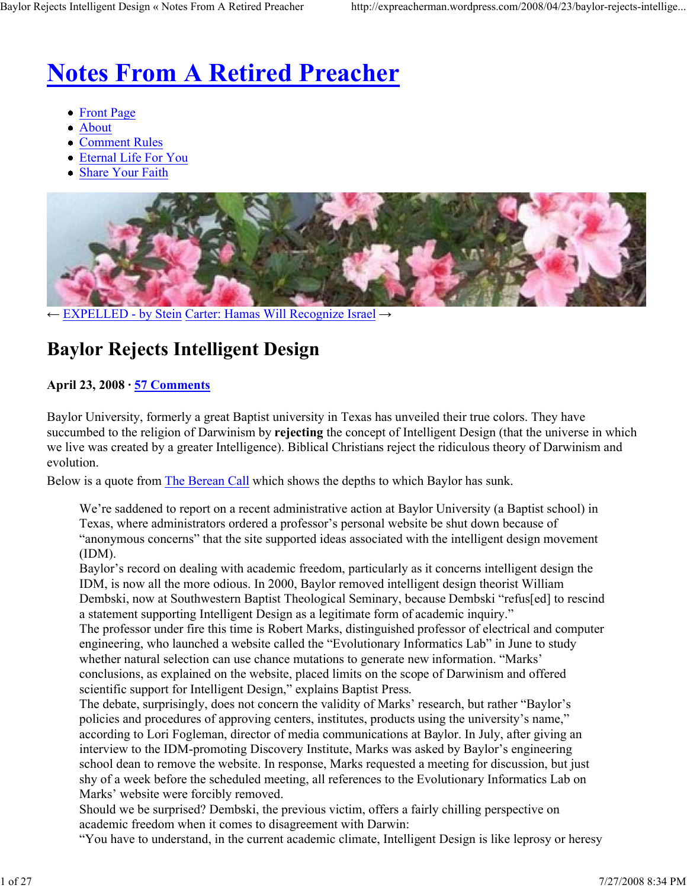# **Notes From A Retired Preacher**

- Front Page
- About
- Comment Rules
- Eternal Life For You
- Share Your Faith



← EXPELLED - by Stein Carter: Hamas Will Recognize Israel →

# **Baylor Rejects Intelligent Design**

# **April 23, 2008 · 57 Comments**

Baylor University, formerly a great Baptist university in Texas has unveiled their true colors. They have succumbed to the religion of Darwinism by **rejecting** the concept of Intelligent Design (that the universe in which we live was created by a greater Intelligence). Biblical Christians reject the ridiculous theory of Darwinism and evolution.

Below is a quote from The Berean Call which shows the depths to which Baylor has sunk.

We're saddened to report on a recent administrative action at Baylor University (a Baptist school) in Texas, where administrators ordered a professor's personal website be shut down because of "anonymous concerns" that the site supported ideas associated with the intelligent design movement (IDM).

Baylor's record on dealing with academic freedom, particularly as it concerns intelligent design the IDM, is now all the more odious. In 2000, Baylor removed intelligent design theorist William Dembski, now at Southwestern Baptist Theological Seminary, because Dembski "refus[ed] to rescind a statement supporting Intelligent Design as a legitimate form of academic inquiry."

The professor under fire this time is Robert Marks, distinguished professor of electrical and computer engineering, who launched a website called the "Evolutionary Informatics Lab" in June to study whether natural selection can use chance mutations to generate new information. "Marks' conclusions, as explained on the website, placed limits on the scope of Darwinism and offered scientific support for Intelligent Design," explains Baptist Press.

The debate, surprisingly, does not concern the validity of Marks' research, but rather "Baylor's policies and procedures of approving centers, institutes, products using the university's name," according to Lori Fogleman, director of media communications at Baylor. In July, after giving an interview to the IDM-promoting Discovery Institute, Marks was asked by Baylor's engineering school dean to remove the website. In response, Marks requested a meeting for discussion, but just shy of a week before the scheduled meeting, all references to the Evolutionary Informatics Lab on Marks' website were forcibly removed.

Should we be surprised? Dembski, the previous victim, offers a fairly chilling perspective on academic freedom when it comes to disagreement with Darwin:

"You have to understand, in the current academic climate, Intelligent Design is like leprosy or heresy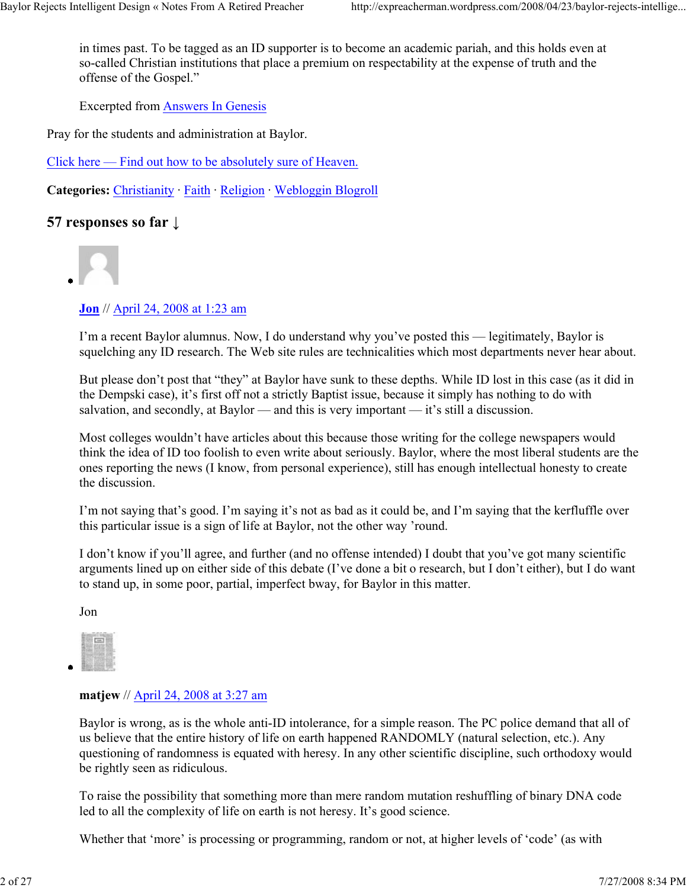in times past. To be tagged as an ID supporter is to become an academic pariah, and this holds even at so-called Christian institutions that place a premium on respectability at the expense of truth and the offense of the Gospel."

Excerpted from Answers In Genesis

Pray for the students and administration at Baylor.

Click here — Find out how to be absolutely sure of Heaven.

**Categories:** Christianity · Faith · Religion · Webloggin Blogroll

# **57 responses so far ↓**



# **Jon** // April 24, 2008 at 1:23 am

I'm a recent Baylor alumnus. Now, I do understand why you've posted this — legitimately, Baylor is squelching any ID research. The Web site rules are technicalities which most departments never hear about.

But please don't post that "they" at Baylor have sunk to these depths. While ID lost in this case (as it did in the Dempski case), it's first off not a strictly Baptist issue, because it simply has nothing to do with salvation, and secondly, at Baylor — and this is very important — it's still a discussion.

Most colleges wouldn't have articles about this because those writing for the college newspapers would think the idea of ID too foolish to even write about seriously. Baylor, where the most liberal students are the ones reporting the news (I know, from personal experience), still has enough intellectual honesty to create the discussion.

I'm not saying that's good. I'm saying it's not as bad as it could be, and I'm saying that the kerfluffle over this particular issue is a sign of life at Baylor, not the other way 'round.

I don't know if you'll agree, and further (and no offense intended) I doubt that you've got many scientific arguments lined up on either side of this debate (I've done a bit o research, but I don't either), but I do want to stand up, in some poor, partial, imperfect bway, for Baylor in this matter.

Jon



#### **matjew** // April 24, 2008 at 3:27 am

Baylor is wrong, as is the whole anti-ID intolerance, for a simple reason. The PC police demand that all of us believe that the entire history of life on earth happened RANDOMLY (natural selection, etc.). Any questioning of randomness is equated with heresy. In any other scientific discipline, such orthodoxy would be rightly seen as ridiculous.

To raise the possibility that something more than mere random mutation reshuffling of binary DNA code led to all the complexity of life on earth is not heresy. It's good science.

Whether that 'more' is processing or programming, random or not, at higher levels of 'code' (as with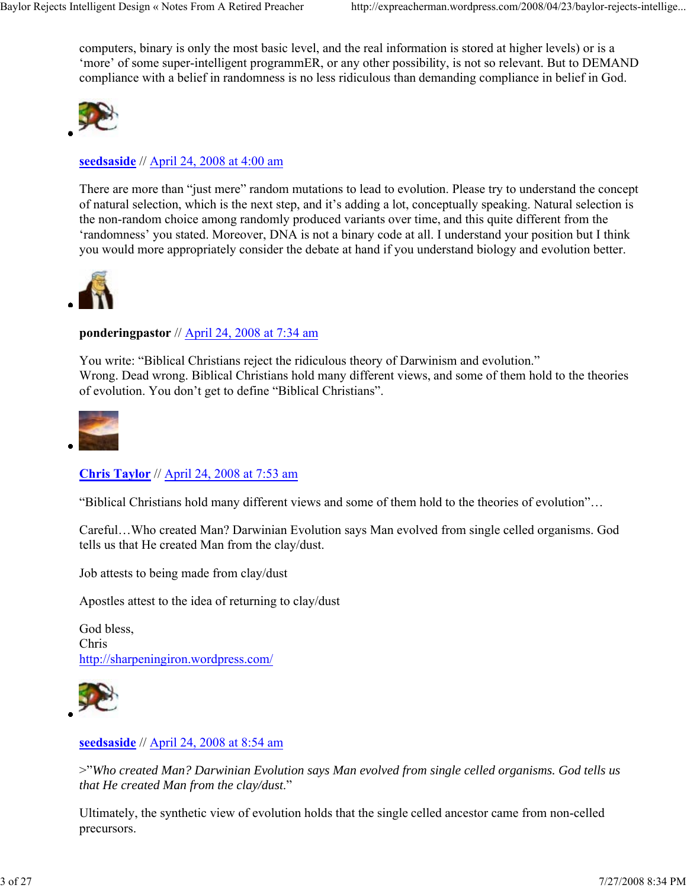computers, binary is only the most basic level, and the real information is stored at higher levels) or is a 'more' of some super-intelligent programmER, or any other possibility, is not so relevant. But to DEMAND compliance with a belief in randomness is no less ridiculous than demanding compliance in belief in God.



**seedsaside** // April 24, 2008 at 4:00 am

There are more than "just mere" random mutations to lead to evolution. Please try to understand the concept of natural selection, which is the next step, and it's adding a lot, conceptually speaking. Natural selection is the non-random choice among randomly produced variants over time, and this quite different from the 'randomness' you stated. Moreover, DNA is not a binary code at all. I understand your position but I think you would more appropriately consider the debate at hand if you understand biology and evolution better.



#### **ponderingpastor** // April 24, 2008 at 7:34 am

You write: "Biblical Christians reject the ridiculous theory of Darwinism and evolution." Wrong. Dead wrong. Biblical Christians hold many different views, and some of them hold to the theories of evolution. You don't get to define "Biblical Christians".



**Chris Taylor** // April 24, 2008 at 7:53 am

"Biblical Christians hold many different views and some of them hold to the theories of evolution"…

Careful…Who created Man? Darwinian Evolution says Man evolved from single celled organisms. God tells us that He created Man from the clay/dust.

Job attests to being made from clay/dust

Apostles attest to the idea of returning to clay/dust

God bless, Chris http://sharpeningiron.wordpress.com/



#### **seedsaside** // April 24, 2008 at 8:54 am

>"*Who created Man? Darwinian Evolution says Man evolved from single celled organisms. God tells us that He created Man from the clay/dust*."

Ultimately, the synthetic view of evolution holds that the single celled ancestor came from non-celled precursors.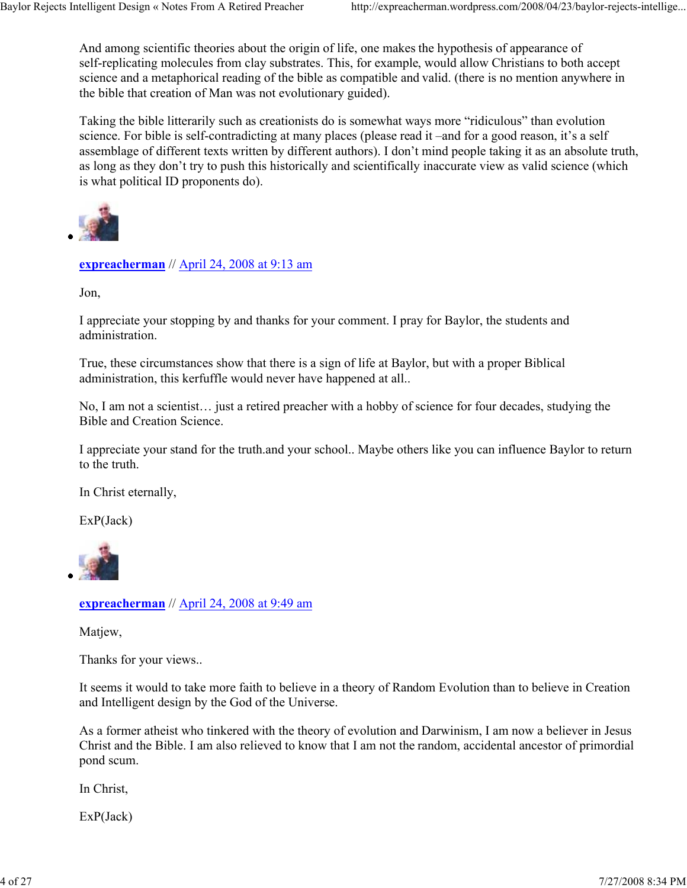And among scientific theories about the origin of life, one makes the hypothesis of appearance of self-replicating molecules from clay substrates. This, for example, would allow Christians to both accept science and a metaphorical reading of the bible as compatible and valid. (there is no mention anywhere in the bible that creation of Man was not evolutionary guided).

Taking the bible litterarily such as creationists do is somewhat ways more "ridiculous" than evolution science. For bible is self-contradicting at many places (please read it –and for a good reason, it's a self assemblage of different texts written by different authors). I don't mind people taking it as an absolute truth, as long as they don't try to push this historically and scientifically inaccurate view as valid science (which is what political ID proponents do).



**expreacherman** // April 24, 2008 at 9:13 am

Jon,

I appreciate your stopping by and thanks for your comment. I pray for Baylor, the students and administration.

True, these circumstances show that there is a sign of life at Baylor, but with a proper Biblical administration, this kerfuffle would never have happened at all..

No, I am not a scientist… just a retired preacher with a hobby of science for four decades, studying the Bible and Creation Science.

I appreciate your stand for the truth.and your school.. Maybe others like you can influence Baylor to return to the truth.

In Christ eternally,

ExP(Jack)



#### **expreacherman** // April 24, 2008 at 9:49 am

Matjew,

Thanks for your views..

It seems it would to take more faith to believe in a theory of Random Evolution than to believe in Creation and Intelligent design by the God of the Universe.

As a former atheist who tinkered with the theory of evolution and Darwinism, I am now a believer in Jesus Christ and the Bible. I am also relieved to know that I am not the random, accidental ancestor of primordial pond scum.

In Christ,

ExP(Jack)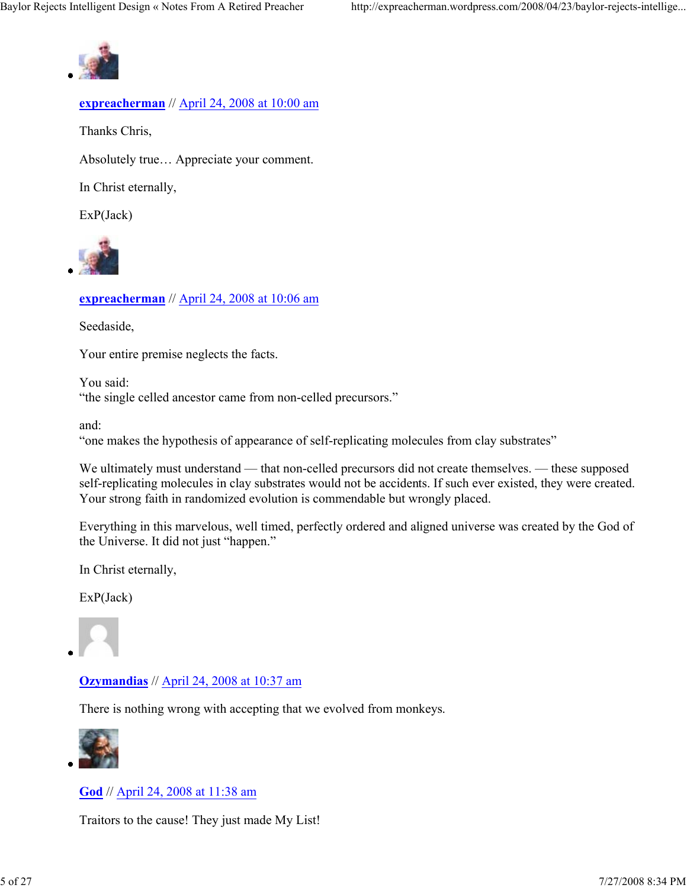

# **expreacherman** // April 24, 2008 at 10:00 am

Thanks Chris,

Absolutely true… Appreciate your comment.

In Christ eternally,

ExP(Jack)



# **expreacherman** // April 24, 2008 at 10:06 am

Seedaside,

Your entire premise neglects the facts.

You said: "the single celled ancestor came from non-celled precursors."

and:

"one makes the hypothesis of appearance of self-replicating molecules from clay substrates"

We ultimately must understand — that non-celled precursors did not create themselves. — these supposed self-replicating molecules in clay substrates would not be accidents. If such ever existed, they were created. Your strong faith in randomized evolution is commendable but wrongly placed.

Everything in this marvelous, well timed, perfectly ordered and aligned universe was created by the God of the Universe. It did not just "happen."

In Christ eternally,

ExP(Jack)



## **Ozymandias** // April 24, 2008 at 10:37 am

There is nothing wrong with accepting that we evolved from monkeys.



**God** // April 24, 2008 at 11:38 am

Traitors to the cause! They just made My List!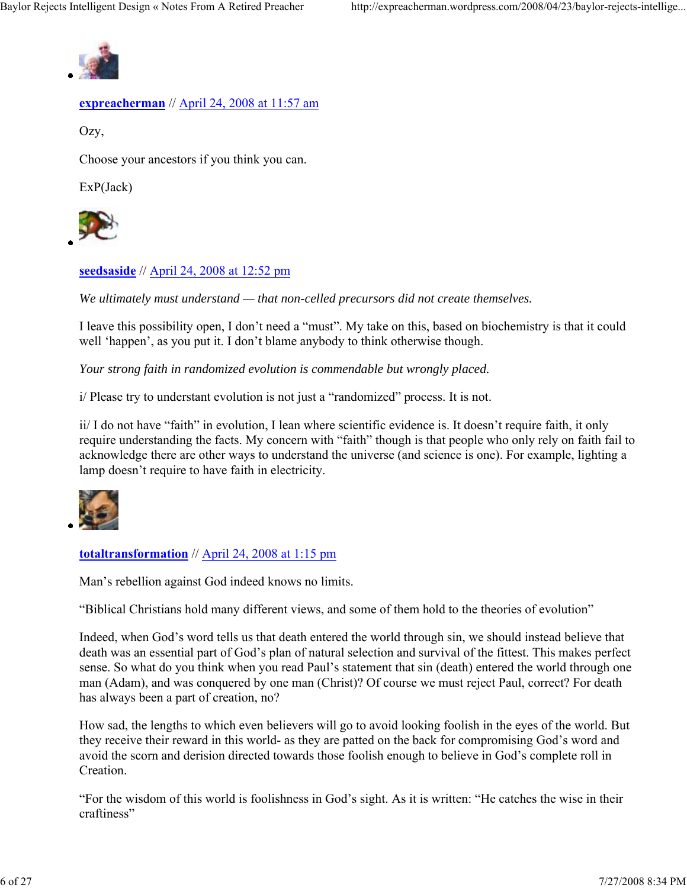

### **expreacherman** // April 24, 2008 at 11:57 am

Ozy,

Choose your ancestors if you think you can.

ExP(Jack)



## **seedsaside** // April 24, 2008 at 12:52 pm

*We ultimately must understand — that non-celled precursors did not create themselves.*

I leave this possibility open, I don't need a "must". My take on this, based on biochemistry is that it could well 'happen', as you put it. I don't blame anybody to think otherwise though.

*Your strong faith in randomized evolution is commendable but wrongly placed.*

i/ Please try to understant evolution is not just a "randomized" process. It is not.

ii/ I do not have "faith" in evolution, I lean where scientific evidence is. It doesn't require faith, it only require understanding the facts. My concern with "faith" though is that people who only rely on faith fail to acknowledge there are other ways to understand the universe (and science is one). For example, lighting a lamp doesn't require to have faith in electricity.



## **totaltransformation** // April 24, 2008 at 1:15 pm

Man's rebellion against God indeed knows no limits.

"Biblical Christians hold many different views, and some of them hold to the theories of evolution"

Indeed, when God's word tells us that death entered the world through sin, we should instead believe that death was an essential part of God's plan of natural selection and survival of the fittest. This makes perfect sense. So what do you think when you read Paul's statement that sin (death) entered the world through one man (Adam), and was conquered by one man (Christ)? Of course we must reject Paul, correct? For death has always been a part of creation, no?

How sad, the lengths to which even believers will go to avoid looking foolish in the eyes of the world. But they receive their reward in this world- as they are patted on the back for compromising God's word and avoid the scorn and derision directed towards those foolish enough to believe in God's complete roll in **Creation** 

"For the wisdom of this world is foolishness in God's sight. As it is written: "He catches the wise in their craftiness"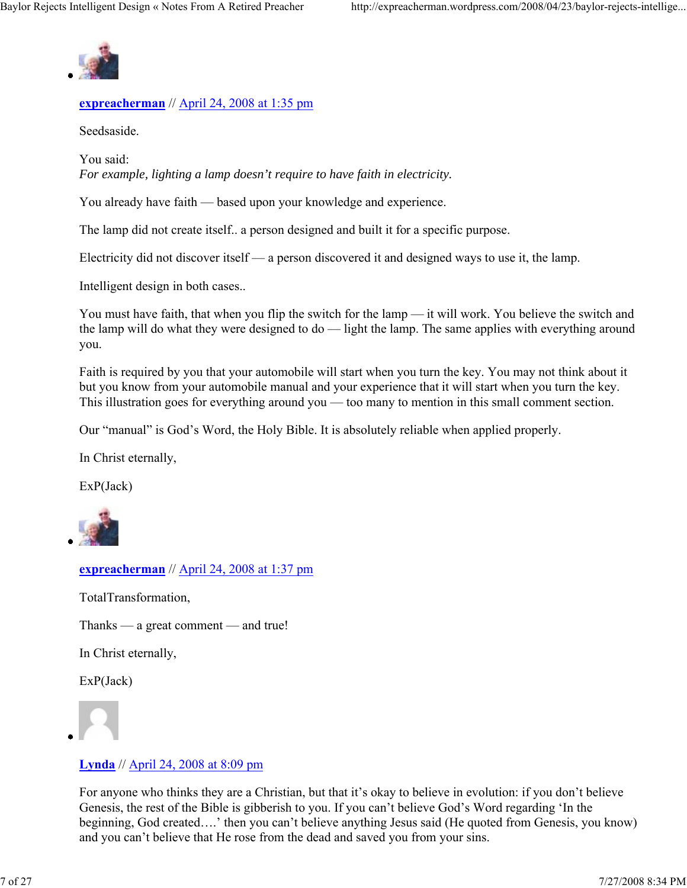

### **expreacherman** // April 24, 2008 at 1:35 pm

Seedsaside.

You said: *For example, lighting a lamp doesn't require to have faith in electricity.*

You already have faith — based upon your knowledge and experience.

The lamp did not create itself.. a person designed and built it for a specific purpose.

Electricity did not discover itself — a person discovered it and designed ways to use it, the lamp.

Intelligent design in both cases..

You must have faith, that when you flip the switch for the lamp — it will work. You believe the switch and the lamp will do what they were designed to do — light the lamp. The same applies with everything around you.

Faith is required by you that your automobile will start when you turn the key. You may not think about it but you know from your automobile manual and your experience that it will start when you turn the key. This illustration goes for everything around you — too many to mention in this small comment section.

Our "manual" is God's Word, the Holy Bible. It is absolutely reliable when applied properly.

In Christ eternally,

ExP(Jack)



**expreacherman** // April 24, 2008 at 1:37 pm

TotalTransformation,

Thanks — a great comment — and true!

In Christ eternally,

ExP(Jack)



#### **Lynda** // April 24, 2008 at 8:09 pm

For anyone who thinks they are a Christian, but that it's okay to believe in evolution: if you don't believe Genesis, the rest of the Bible is gibberish to you. If you can't believe God's Word regarding 'In the beginning, God created….' then you can't believe anything Jesus said (He quoted from Genesis, you know) and you can't believe that He rose from the dead and saved you from your sins.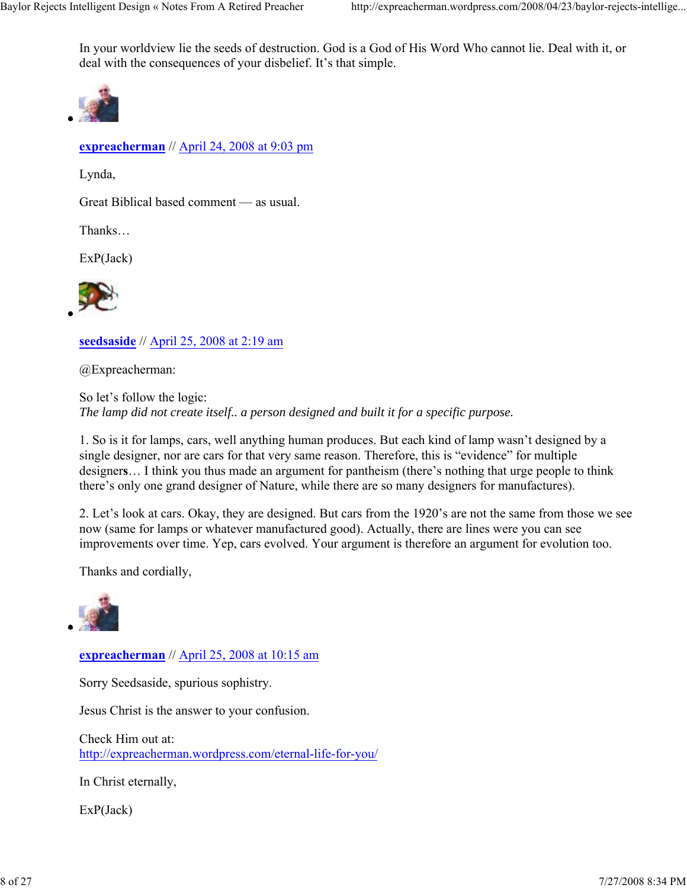In your worldview lie the seeds of destruction. God is a God of His Word Who cannot lie. Deal with it, or deal with the consequences of your disbelief. It's that simple.



**expreacherman** // April 24, 2008 at 9:03 pm

Lynda,

Great Biblical based comment — as usual.

Thanks…

ExP(Jack)



**seedsaside** // April 25, 2008 at 2:19 am

@Expreacherman:

So let's follow the logic: *The lamp did not create itself.. a person designed and built it for a specific purpose.*

1. So is it for lamps, cars, well anything human produces. But each kind of lamp wasn't designed by a single designer, nor are cars for that very same reason. Therefore, this is "evidence" for multiple designer**s**… I think you thus made an argument for pantheism (there's nothing that urge people to think there's only one grand designer of Nature, while there are so many designers for manufactures).

2. Let's look at cars. Okay, they are designed. But cars from the 1920's are not the same from those we see now (same for lamps or whatever manufactured good). Actually, there are lines were you can see improvements over time. Yep, cars evolved. Your argument is therefore an argument for evolution too.

Thanks and cordially,



**expreacherman** // April 25, 2008 at 10:15 am

Sorry Seedsaside, spurious sophistry.

Jesus Christ is the answer to your confusion.

Check Him out at: http://expreacherman.wordpress.com/eternal-life-for-you/

In Christ eternally,

ExP(Jack)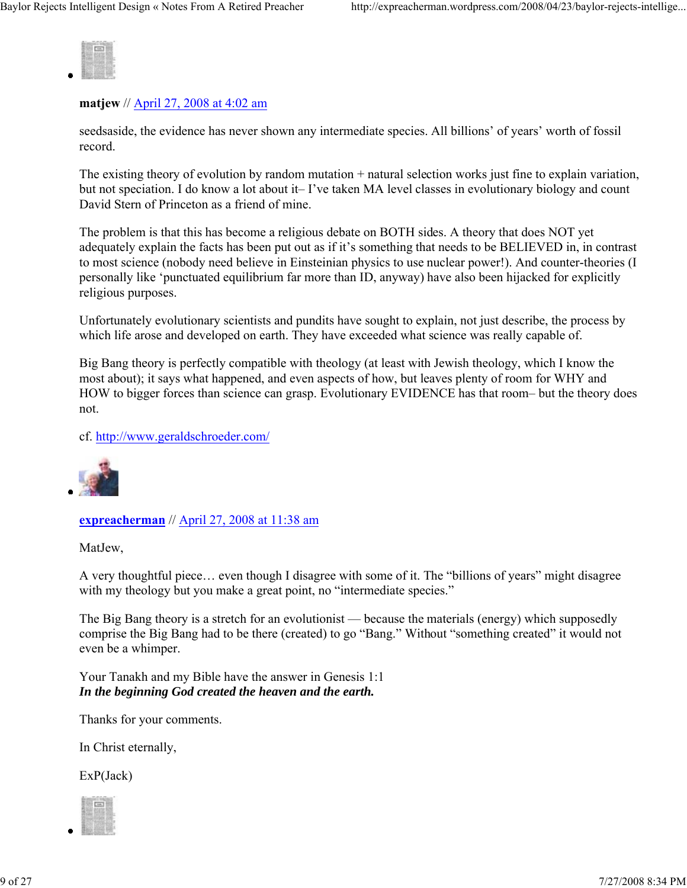

#### **matjew** // April 27, 2008 at 4:02 am

seedsaside, the evidence has never shown any intermediate species. All billions' of years' worth of fossil record.

The existing theory of evolution by random mutation + natural selection works just fine to explain variation, but not speciation. I do know a lot about it– I've taken MA level classes in evolutionary biology and count David Stern of Princeton as a friend of mine.

The problem is that this has become a religious debate on BOTH sides. A theory that does NOT yet adequately explain the facts has been put out as if it's something that needs to be BELIEVED in, in contrast to most science (nobody need believe in Einsteinian physics to use nuclear power!). And counter-theories (I personally like 'punctuated equilibrium far more than ID, anyway) have also been hijacked for explicitly religious purposes.

Unfortunately evolutionary scientists and pundits have sought to explain, not just describe, the process by which life arose and developed on earth. They have exceeded what science was really capable of.

Big Bang theory is perfectly compatible with theology (at least with Jewish theology, which I know the most about); it says what happened, and even aspects of how, but leaves plenty of room for WHY and HOW to bigger forces than science can grasp. Evolutionary EVIDENCE has that room– but the theory does not.

cf. http://www.geraldschroeder.com/



#### **expreacherman** // April 27, 2008 at 11:38 am

MatJew,

A very thoughtful piece… even though I disagree with some of it. The "billions of years" might disagree with my theology but you make a great point, no "intermediate species."

The Big Bang theory is a stretch for an evolutionist — because the materials (energy) which supposedly comprise the Big Bang had to be there (created) to go "Bang." Without "something created" it would not even be a whimper.

Your Tanakh and my Bible have the answer in Genesis 1:1 *In the beginning God created the heaven and the earth.* 

Thanks for your comments.

In Christ eternally,

ExP(Jack)

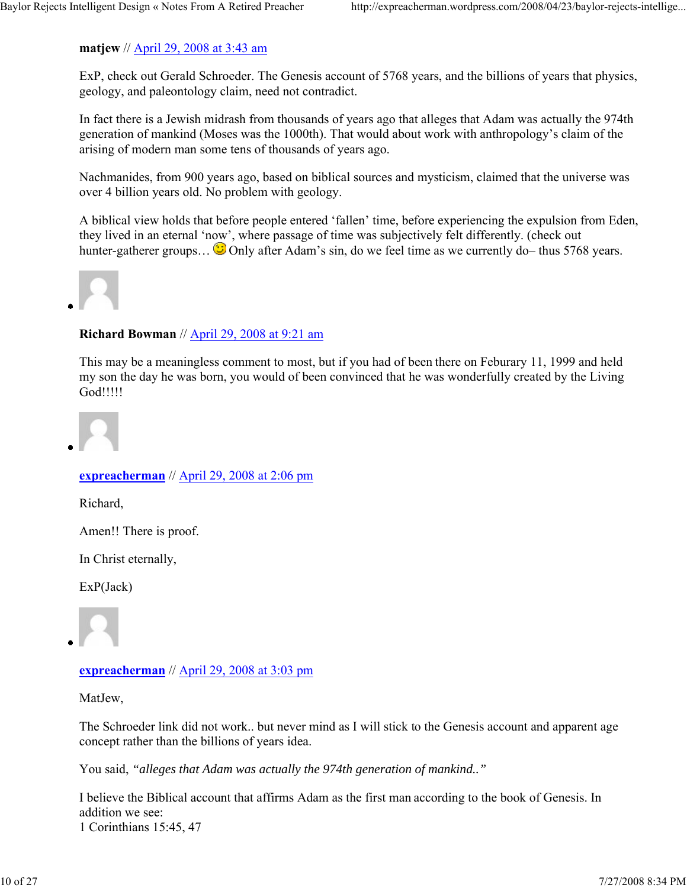# **matjew** // April 29, 2008 at 3:43 am

ExP, check out Gerald Schroeder. The Genesis account of 5768 years, and the billions of years that physics, geology, and paleontology claim, need not contradict.

In fact there is a Jewish midrash from thousands of years ago that alleges that Adam was actually the 974th generation of mankind (Moses was the 1000th). That would about work with anthropology's claim of the arising of modern man some tens of thousands of years ago.

Nachmanides, from 900 years ago, based on biblical sources and mysticism, claimed that the universe was over 4 billion years old. No problem with geology.

A biblical view holds that before people entered 'fallen' time, before experiencing the expulsion from Eden, they lived in an eternal 'now', where passage of time was subjectively felt differently. (check out hunter-gatherer groups...  $\odot$  Only after Adam's sin, do we feel time as we currently do– thus 5768 years.



# **Richard Bowman** // April 29, 2008 at 9:21 am

This may be a meaningless comment to most, but if you had of been there on Feburary 11, 1999 and held my son the day he was born, you would of been convinced that he was wonderfully created by the Living God!!!!!



# **expreacherman** // April 29, 2008 at 2:06 pm

Richard,

Amen!! There is proof.

In Christ eternally,

ExP(Jack)



**expreacherman** // April 29, 2008 at 3:03 pm

MatJew,

The Schroeder link did not work.. but never mind as I will stick to the Genesis account and apparent age concept rather than the billions of years idea.

You said, *"alleges that Adam was actually the 974th generation of mankind.."*

I believe the Biblical account that affirms Adam as the first man according to the book of Genesis. In addition we see: 1 Corinthians 15:45, 47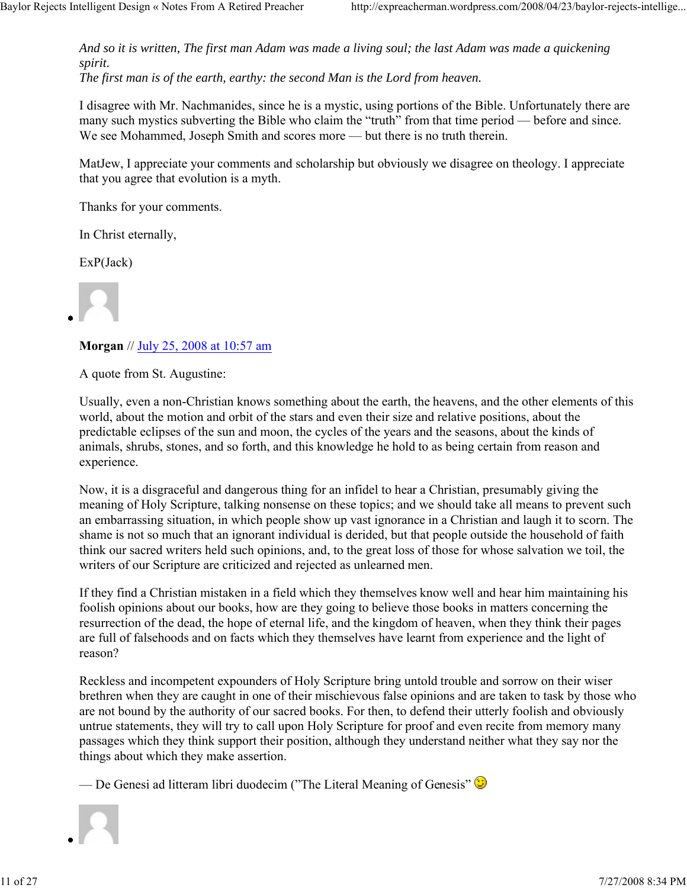*And so it is written, The first man Adam was made a living soul; the last Adam was made a quickening spirit. The first man is of the earth, earthy: the second Man is the Lord from heaven.* 

I disagree with Mr. Nachmanides, since he is a mystic, using portions of the Bible. Unfortunately there are many such mystics subverting the Bible who claim the "truth" from that time period — before and since. We see Mohammed, Joseph Smith and scores more — but there is no truth therein.

MatJew, I appreciate your comments and scholarship but obviously we disagree on theology. I appreciate that you agree that evolution is a myth.

Thanks for your comments.

In Christ eternally,

ExP(Jack)

**Morgan** // July 25, 2008 at 10:57 am

A quote from St. Augustine:

Usually, even a non-Christian knows something about the earth, the heavens, and the other elements of this world, about the motion and orbit of the stars and even their size and relative positions, about the predictable eclipses of the sun and moon, the cycles of the years and the seasons, about the kinds of animals, shrubs, stones, and so forth, and this knowledge he hold to as being certain from reason and experience.

Now, it is a disgraceful and dangerous thing for an infidel to hear a Christian, presumably giving the meaning of Holy Scripture, talking nonsense on these topics; and we should take all means to prevent such an embarrassing situation, in which people show up vast ignorance in a Christian and laugh it to scorn. The shame is not so much that an ignorant individual is derided, but that people outside the household of faith think our sacred writers held such opinions, and, to the great loss of those for whose salvation we toil, the writers of our Scripture are criticized and rejected as unlearned men.

If they find a Christian mistaken in a field which they themselves know well and hear him maintaining his foolish opinions about our books, how are they going to believe those books in matters concerning the resurrection of the dead, the hope of eternal life, and the kingdom of heaven, when they think their pages are full of falsehoods and on facts which they themselves have learnt from experience and the light of reason?

Reckless and incompetent expounders of Holy Scripture bring untold trouble and sorrow on their wiser brethren when they are caught in one of their mischievous false opinions and are taken to task by those who are not bound by the authority of our sacred books. For then, to defend their utterly foolish and obviously untrue statements, they will try to call upon Holy Scripture for proof and even recite from memory many passages which they think support their position, although they understand neither what they say nor the things about which they make assertion.

— De Genesi ad litteram libri duodecim ("The Literal Meaning of Genesis"  $\odot$ 

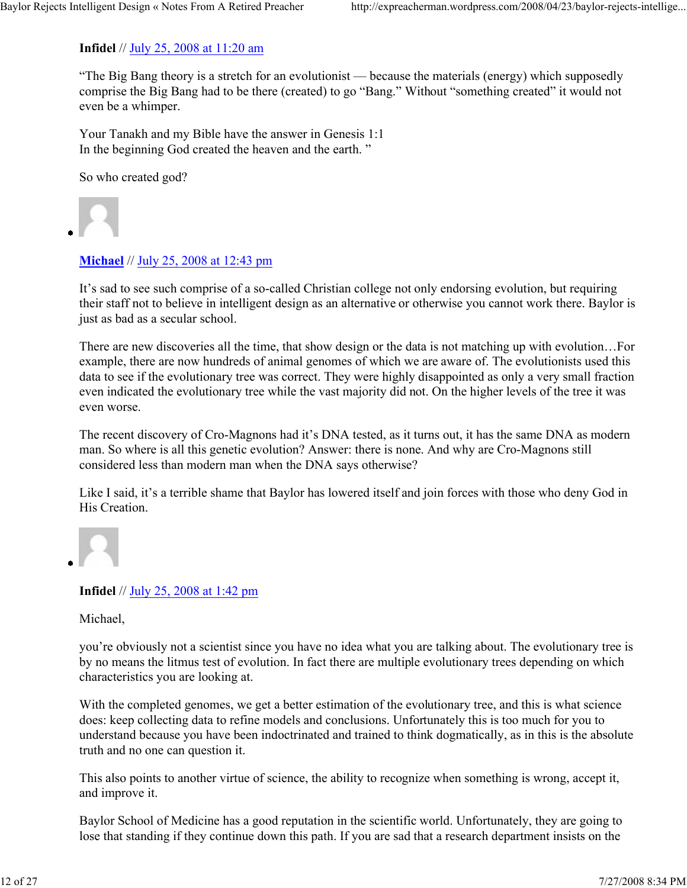#### **Infidel** // July 25, 2008 at 11:20 am

"The Big Bang theory is a stretch for an evolutionist — because the materials (energy) which supposedly comprise the Big Bang had to be there (created) to go "Bang." Without "something created" it would not even be a whimper.

Your Tanakh and my Bible have the answer in Genesis 1:1 In the beginning God created the heaven and the earth. "

So who created god?



#### **Michael** // July 25, 2008 at 12:43 pm

It's sad to see such comprise of a so-called Christian college not only endorsing evolution, but requiring their staff not to believe in intelligent design as an alternative or otherwise you cannot work there. Baylor is just as bad as a secular school.

There are new discoveries all the time, that show design or the data is not matching up with evolution…For example, there are now hundreds of animal genomes of which we are aware of. The evolutionists used this data to see if the evolutionary tree was correct. They were highly disappointed as only a very small fraction even indicated the evolutionary tree while the vast majority did not. On the higher levels of the tree it was even worse.

The recent discovery of Cro-Magnons had it's DNA tested, as it turns out, it has the same DNA as modern man. So where is all this genetic evolution? Answer: there is none. And why are Cro-Magnons still considered less than modern man when the DNA says otherwise?

Like I said, it's a terrible shame that Baylor has lowered itself and join forces with those who deny God in His Creation.



## **Infidel** // July 25, 2008 at 1:42 pm

Michael,

you're obviously not a scientist since you have no idea what you are talking about. The evolutionary tree is by no means the litmus test of evolution. In fact there are multiple evolutionary trees depending on which characteristics you are looking at.

With the completed genomes, we get a better estimation of the evolutionary tree, and this is what science does: keep collecting data to refine models and conclusions. Unfortunately this is too much for you to understand because you have been indoctrinated and trained to think dogmatically, as in this is the absolute truth and no one can question it.

This also points to another virtue of science, the ability to recognize when something is wrong, accept it, and improve it.

Baylor School of Medicine has a good reputation in the scientific world. Unfortunately, they are going to lose that standing if they continue down this path. If you are sad that a research department insists on the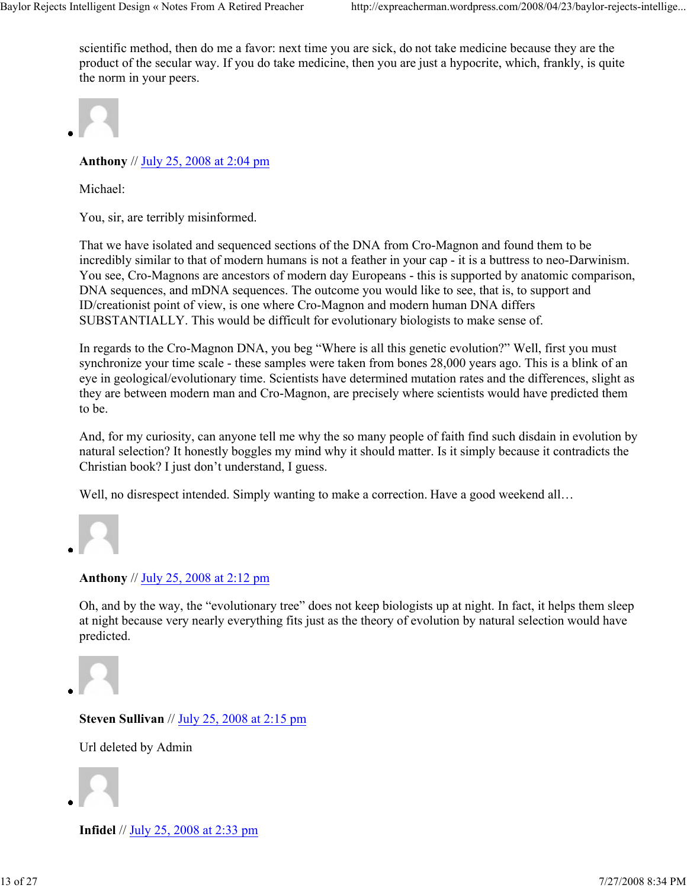scientific method, then do me a favor: next time you are sick, do not take medicine because they are the product of the secular way. If you do take medicine, then you are just a hypocrite, which, frankly, is quite the norm in your peers.



**Anthony** // July 25, 2008 at 2:04 pm

Michael:

You, sir, are terribly misinformed.

That we have isolated and sequenced sections of the DNA from Cro-Magnon and found them to be incredibly similar to that of modern humans is not a feather in your cap - it is a buttress to neo-Darwinism. You see, Cro-Magnons are ancestors of modern day Europeans - this is supported by anatomic comparison, DNA sequences, and mDNA sequences. The outcome you would like to see, that is, to support and ID/creationist point of view, is one where Cro-Magnon and modern human DNA differs SUBSTANTIALLY. This would be difficult for evolutionary biologists to make sense of.

In regards to the Cro-Magnon DNA, you beg "Where is all this genetic evolution?" Well, first you must synchronize your time scale - these samples were taken from bones 28,000 years ago. This is a blink of an eye in geological/evolutionary time. Scientists have determined mutation rates and the differences, slight as they are between modern man and Cro-Magnon, are precisely where scientists would have predicted them to be.

And, for my curiosity, can anyone tell me why the so many people of faith find such disdain in evolution by natural selection? It honestly boggles my mind why it should matter. Is it simply because it contradicts the Christian book? I just don't understand, I guess.

Well, no disrespect intended. Simply wanting to make a correction. Have a good weekend all...

#### **Anthony** // July 25, 2008 at 2:12 pm

Oh, and by the way, the "evolutionary tree" does not keep biologists up at night. In fact, it helps them sleep at night because very nearly everything fits just as the theory of evolution by natural selection would have predicted.

**Steven Sullivan** // July 25, 2008 at 2:15 pm

Url deleted by Admin



**Infidel** // July 25, 2008 at 2:33 pm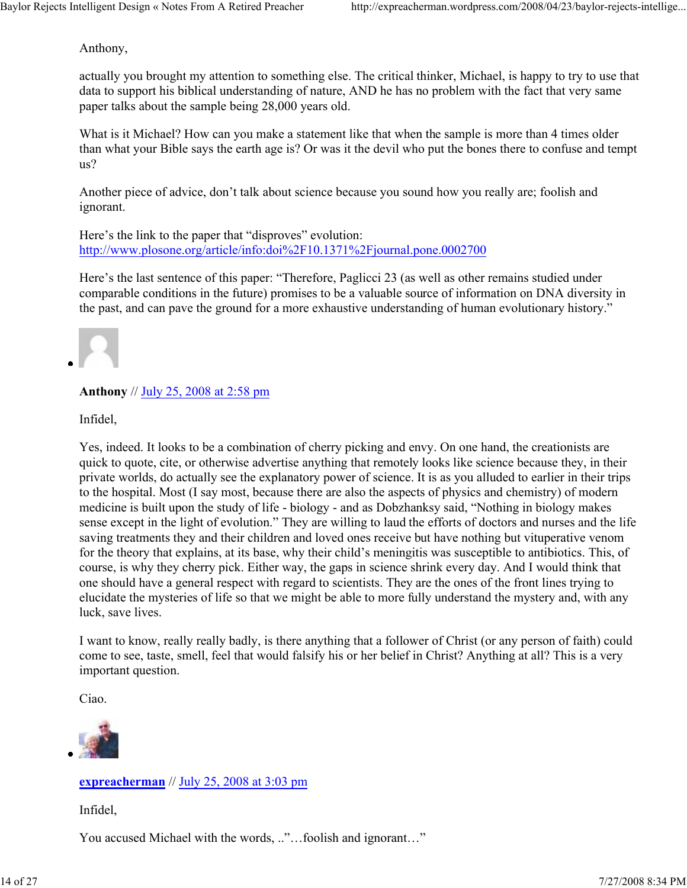Anthony,

actually you brought my attention to something else. The critical thinker, Michael, is happy to try to use that data to support his biblical understanding of nature, AND he has no problem with the fact that very same paper talks about the sample being 28,000 years old.

What is it Michael? How can you make a statement like that when the sample is more than 4 times older than what your Bible says the earth age is? Or was it the devil who put the bones there to confuse and tempt us?

Another piece of advice, don't talk about science because you sound how you really are; foolish and ignorant.

Here's the link to the paper that "disproves" evolution: http://www.plosone.org/article/info:doi%2F10.1371%2Fjournal.pone.0002700

Here's the last sentence of this paper: "Therefore, Paglicci 23 (as well as other remains studied under comparable conditions in the future) promises to be a valuable source of information on DNA diversity in the past, and can pave the ground for a more exhaustive understanding of human evolutionary history."



## **Anthony** // July 25, 2008 at 2:58 pm

Infidel,

Yes, indeed. It looks to be a combination of cherry picking and envy. On one hand, the creationists are quick to quote, cite, or otherwise advertise anything that remotely looks like science because they, in their private worlds, do actually see the explanatory power of science. It is as you alluded to earlier in their trips to the hospital. Most (I say most, because there are also the aspects of physics and chemistry) of modern medicine is built upon the study of life - biology - and as Dobzhanksy said, "Nothing in biology makes sense except in the light of evolution." They are willing to laud the efforts of doctors and nurses and the life saving treatments they and their children and loved ones receive but have nothing but vituperative venom for the theory that explains, at its base, why their child's meningitis was susceptible to antibiotics. This, of course, is why they cherry pick. Either way, the gaps in science shrink every day. And I would think that one should have a general respect with regard to scientists. They are the ones of the front lines trying to elucidate the mysteries of life so that we might be able to more fully understand the mystery and, with any luck, save lives.

I want to know, really really badly, is there anything that a follower of Christ (or any person of faith) could come to see, taste, smell, feel that would falsify his or her belief in Christ? Anything at all? This is a very important question.

Ciao.



## **expreacherman** // July 25, 2008 at 3:03 pm

Infidel,

You accused Michael with the words, .."...foolish and ignorant..."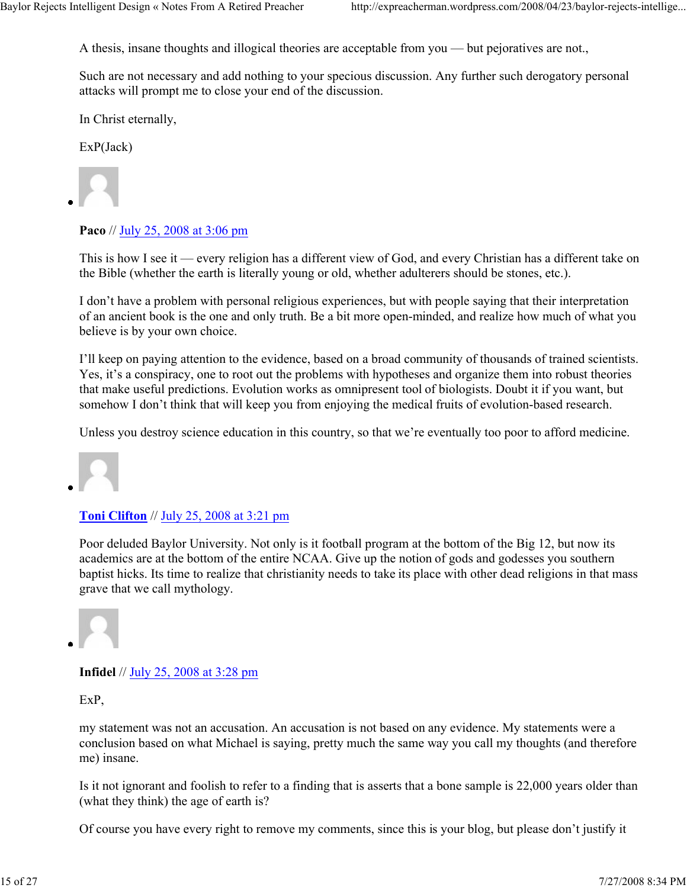A thesis, insane thoughts and illogical theories are acceptable from you — but pejoratives are not.,

Such are not necessary and add nothing to your specious discussion. Any further such derogatory personal attacks will prompt me to close your end of the discussion.

In Christ eternally,

ExP(Jack)

**Paco** // July 25, 2008 at 3:06 pm

This is how I see it — every religion has a different view of God, and every Christian has a different take on the Bible (whether the earth is literally young or old, whether adulterers should be stones, etc.).

I don't have a problem with personal religious experiences, but with people saying that their interpretation of an ancient book is the one and only truth. Be a bit more open-minded, and realize how much of what you believe is by your own choice.

I'll keep on paying attention to the evidence, based on a broad community of thousands of trained scientists. Yes, it's a conspiracy, one to root out the problems with hypotheses and organize them into robust theories that make useful predictions. Evolution works as omnipresent tool of biologists. Doubt it if you want, but somehow I don't think that will keep you from enjoying the medical fruits of evolution-based research.

Unless you destroy science education in this country, so that we're eventually too poor to afford medicine.



#### **Toni Clifton** // July 25, 2008 at 3:21 pm

Poor deluded Baylor University. Not only is it football program at the bottom of the Big 12, but now its academics are at the bottom of the entire NCAA. Give up the notion of gods and godesses you southern baptist hicks. Its time to realize that christianity needs to take its place with other dead religions in that mass grave that we call mythology.



## **Infidel** // July 25, 2008 at 3:28 pm

ExP,

my statement was not an accusation. An accusation is not based on any evidence. My statements were a conclusion based on what Michael is saying, pretty much the same way you call my thoughts (and therefore me) insane.

Is it not ignorant and foolish to refer to a finding that is asserts that a bone sample is 22,000 years older than (what they think) the age of earth is?

Of course you have every right to remove my comments, since this is your blog, but please don't justify it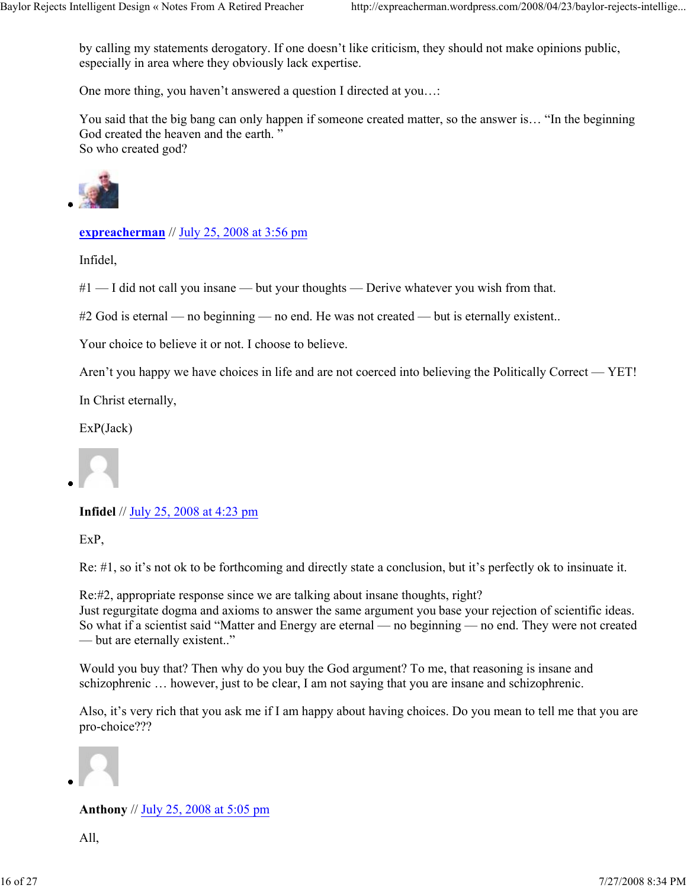by calling my statements derogatory. If one doesn't like criticism, they should not make opinions public, especially in area where they obviously lack expertise.

One more thing, you haven't answered a question I directed at you…:

You said that the big bang can only happen if someone created matter, so the answer is… "In the beginning God created the heaven and the earth. " So who created god?



**expreacherman** // July 25, 2008 at 3:56 pm

Infidel,

 $#1$  — I did not call you insane — but your thoughts — Derive whatever you wish from that.

#2 God is eternal — no beginning — no end. He was not created — but is eternally existent..

Your choice to believe it or not. I choose to believe.

Aren't you happy we have choices in life and are not coerced into believing the Politically Correct — YET!

In Christ eternally,

ExP(Jack)

**Infidel** // July 25, 2008 at 4:23 pm

ExP,

Re: #1, so it's not ok to be forthcoming and directly state a conclusion, but it's perfectly ok to insinuate it.

Re:#2, appropriate response since we are talking about insane thoughts, right? Just regurgitate dogma and axioms to answer the same argument you base your rejection of scientific ideas. So what if a scientist said "Matter and Energy are eternal — no beginning — no end. They were not created — but are eternally existent.."

Would you buy that? Then why do you buy the God argument? To me, that reasoning is insane and schizophrenic … however, just to be clear, I am not saying that you are insane and schizophrenic.

Also, it's very rich that you ask me if I am happy about having choices. Do you mean to tell me that you are pro-choice???



**Anthony** // July 25, 2008 at 5:05 pm

All,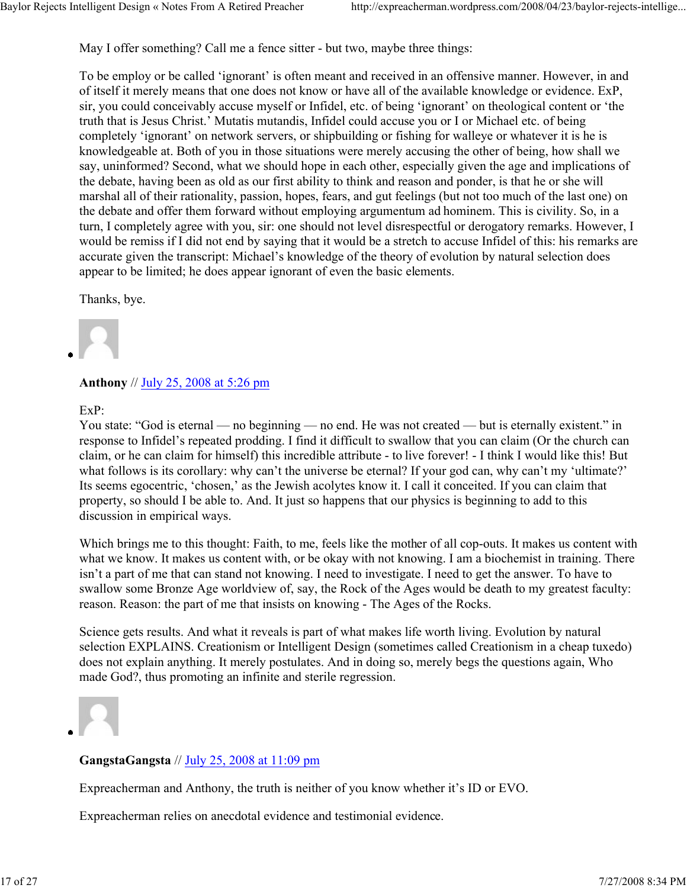May I offer something? Call me a fence sitter - but two, maybe three things:

To be employ or be called 'ignorant' is often meant and received in an offensive manner. However, in and of itself it merely means that one does not know or have all of the available knowledge or evidence. ExP, sir, you could conceivably accuse myself or Infidel, etc. of being 'ignorant' on theological content or 'the truth that is Jesus Christ.' Mutatis mutandis, Infidel could accuse you or I or Michael etc. of being completely 'ignorant' on network servers, or shipbuilding or fishing for walleye or whatever it is he is knowledgeable at. Both of you in those situations were merely accusing the other of being, how shall we say, uninformed? Second, what we should hope in each other, especially given the age and implications of the debate, having been as old as our first ability to think and reason and ponder, is that he or she will marshal all of their rationality, passion, hopes, fears, and gut feelings (but not too much of the last one) on the debate and offer them forward without employing argumentum ad hominem. This is civility. So, in a turn, I completely agree with you, sir: one should not level disrespectful or derogatory remarks. However, I would be remiss if I did not end by saying that it would be a stretch to accuse Infidel of this: his remarks are accurate given the transcript: Michael's knowledge of the theory of evolution by natural selection does appear to be limited; he does appear ignorant of even the basic elements.

Thanks, bye.

#### **Anthony** // July 25, 2008 at 5:26 pm

ExP:

You state: "God is eternal — no beginning — no end. He was not created — but is eternally existent." in response to Infidel's repeated prodding. I find it difficult to swallow that you can claim (Or the church can claim, or he can claim for himself) this incredible attribute - to live forever! - I think I would like this! But what follows is its corollary: why can't the universe be eternal? If your god can, why can't my 'ultimate?' Its seems egocentric, 'chosen,' as the Jewish acolytes know it. I call it conceited. If you can claim that property, so should I be able to. And. It just so happens that our physics is beginning to add to this discussion in empirical ways.

Which brings me to this thought: Faith, to me, feels like the mother of all cop-outs. It makes us content with what we know. It makes us content with, or be okay with not knowing. I am a biochemist in training. There isn't a part of me that can stand not knowing. I need to investigate. I need to get the answer. To have to swallow some Bronze Age worldview of, say, the Rock of the Ages would be death to my greatest faculty: reason. Reason: the part of me that insists on knowing - The Ages of the Rocks.

Science gets results. And what it reveals is part of what makes life worth living. Evolution by natural selection EXPLAINS. Creationism or Intelligent Design (sometimes called Creationism in a cheap tuxedo) does not explain anything. It merely postulates. And in doing so, merely begs the questions again, Who made God?, thus promoting an infinite and sterile regression.



## **GangstaGangsta** // July 25, 2008 at 11:09 pm

Expreacherman and Anthony, the truth is neither of you know whether it's ID or EVO.

Expreacherman relies on anecdotal evidence and testimonial evidence.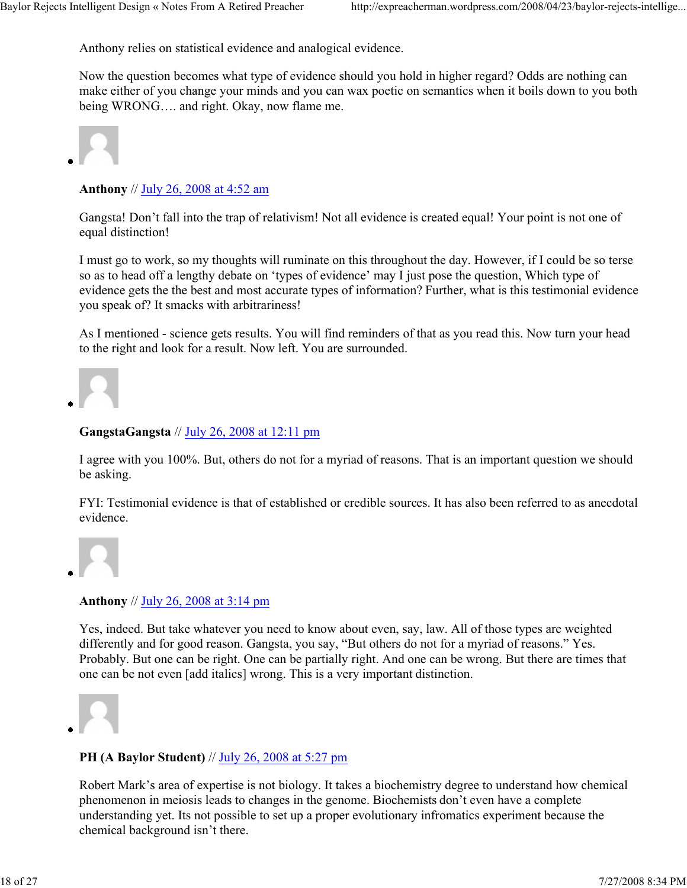Anthony relies on statistical evidence and analogical evidence.

Now the question becomes what type of evidence should you hold in higher regard? Odds are nothing can make either of you change your minds and you can wax poetic on semantics when it boils down to you both being WRONG…. and right. Okay, now flame me.



# **Anthony** // July 26, 2008 at 4:52 am

Gangsta! Don't fall into the trap of relativism! Not all evidence is created equal! Your point is not one of equal distinction!

I must go to work, so my thoughts will ruminate on this throughout the day. However, if I could be so terse so as to head off a lengthy debate on 'types of evidence' may I just pose the question, Which type of evidence gets the the best and most accurate types of information? Further, what is this testimonial evidence you speak of? It smacks with arbitrariness!

As I mentioned - science gets results. You will find reminders of that as you read this. Now turn your head to the right and look for a result. Now left. You are surrounded.



# **GangstaGangsta** // July 26, 2008 at 12:11 pm

I agree with you 100%. But, others do not for a myriad of reasons. That is an important question we should be asking.

FYI: Testimonial evidence is that of established or credible sources. It has also been referred to as anecdotal evidence.



## **Anthony** // July 26, 2008 at 3:14 pm

Yes, indeed. But take whatever you need to know about even, say, law. All of those types are weighted differently and for good reason. Gangsta, you say, "But others do not for a myriad of reasons." Yes. Probably. But one can be right. One can be partially right. And one can be wrong. But there are times that one can be not even [add italics] wrong. This is a very important distinction.



# **PH (A Baylor Student)** // July 26, 2008 at 5:27 pm

Robert Mark's area of expertise is not biology. It takes a biochemistry degree to understand how chemical phenomenon in meiosis leads to changes in the genome. Biochemists don't even have a complete understanding yet. Its not possible to set up a proper evolutionary infromatics experiment because the chemical background isn't there.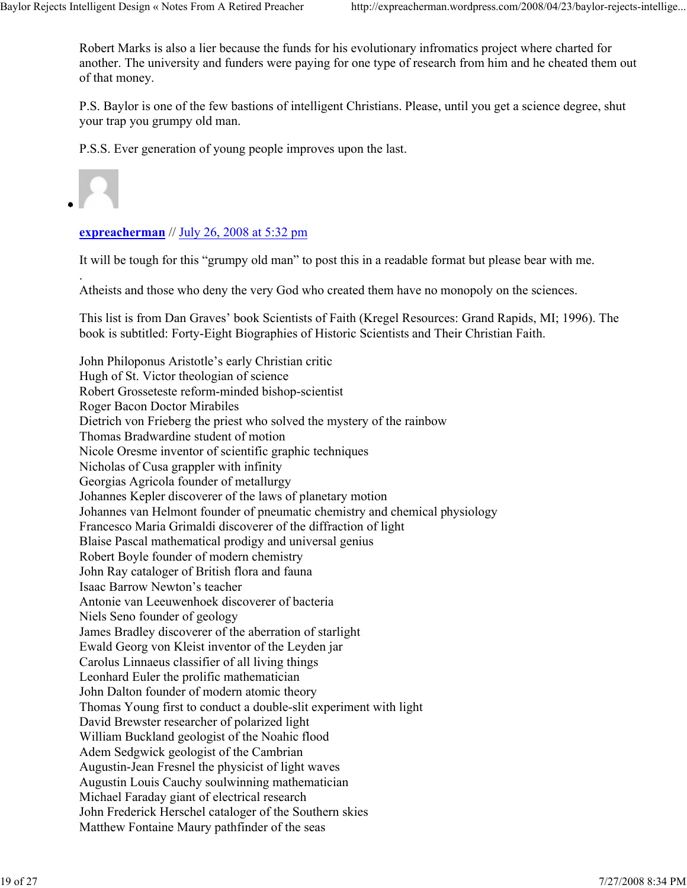Robert Marks is also a lier because the funds for his evolutionary infromatics project where charted for another. The university and funders were paying for one type of research from him and he cheated them out of that money.

P.S. Baylor is one of the few bastions of intelligent Christians. Please, until you get a science degree, shut your trap you grumpy old man.

P.S.S. Ever generation of young people improves upon the last.

.

#### **expreacherman** // July 26, 2008 at 5:32 pm

It will be tough for this "grumpy old man" to post this in a readable format but please bear with me.

Atheists and those who deny the very God who created them have no monopoly on the sciences.

This list is from Dan Graves' book Scientists of Faith (Kregel Resources: Grand Rapids, MI; 1996). The book is subtitled: Forty-Eight Biographies of Historic Scientists and Their Christian Faith.

John Philoponus Aristotle's early Christian critic Hugh of St. Victor theologian of science Robert Grosseteste reform-minded bishop-scientist Roger Bacon Doctor Mirabiles Dietrich von Frieberg the priest who solved the mystery of the rainbow Thomas Bradwardine student of motion Nicole Oresme inventor of scientific graphic techniques Nicholas of Cusa grappler with infinity Georgias Agricola founder of metallurgy Johannes Kepler discoverer of the laws of planetary motion Johannes van Helmont founder of pneumatic chemistry and chemical physiology Francesco Maria Grimaldi discoverer of the diffraction of light Blaise Pascal mathematical prodigy and universal genius Robert Boyle founder of modern chemistry John Ray cataloger of British flora and fauna Isaac Barrow Newton's teacher Antonie van Leeuwenhoek discoverer of bacteria Niels Seno founder of geology James Bradley discoverer of the aberration of starlight Ewald Georg von Kleist inventor of the Leyden jar Carolus Linnaeus classifier of all living things Leonhard Euler the prolific mathematician John Dalton founder of modern atomic theory Thomas Young first to conduct a double-slit experiment with light David Brewster researcher of polarized light William Buckland geologist of the Noahic flood Adem Sedgwick geologist of the Cambrian Augustin-Jean Fresnel the physicist of light waves Augustin Louis Cauchy soulwinning mathematician Michael Faraday giant of electrical research John Frederick Herschel cataloger of the Southern skies Matthew Fontaine Maury pathfinder of the seas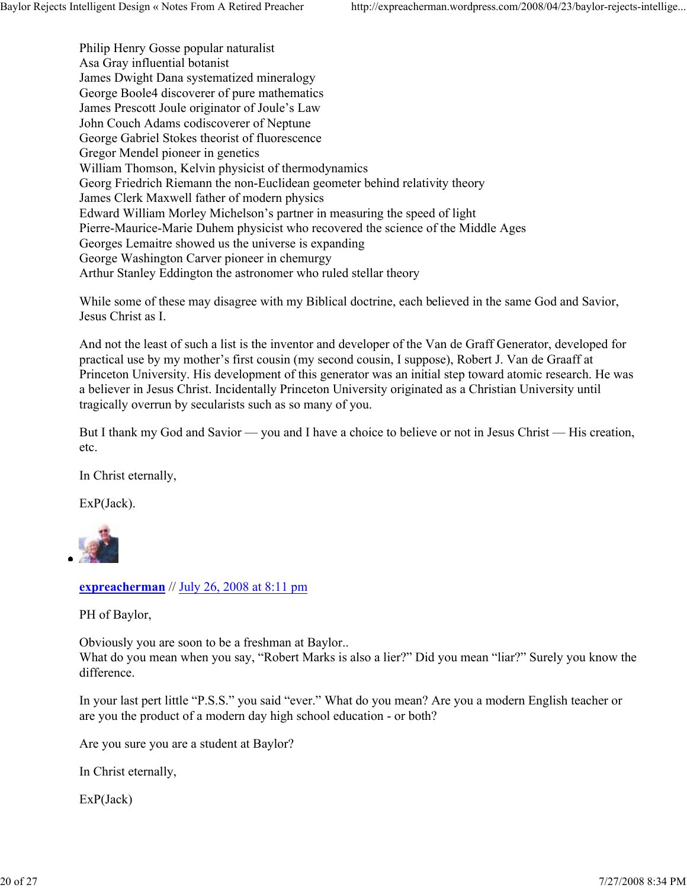Philip Henry Gosse popular naturalist Asa Gray influential botanist James Dwight Dana systematized mineralogy George Boole4 discoverer of pure mathematics James Prescott Joule originator of Joule's Law John Couch Adams codiscoverer of Neptune George Gabriel Stokes theorist of fluorescence Gregor Mendel pioneer in genetics William Thomson, Kelvin physicist of thermodynamics Georg Friedrich Riemann the non-Euclidean geometer behind relativity theory James Clerk Maxwell father of modern physics Edward William Morley Michelson's partner in measuring the speed of light Pierre-Maurice-Marie Duhem physicist who recovered the science of the Middle Ages Georges Lemaitre showed us the universe is expanding George Washington Carver pioneer in chemurgy Arthur Stanley Eddington the astronomer who ruled stellar theory

While some of these may disagree with my Biblical doctrine, each believed in the same God and Savior, Jesus Christ as I.

And not the least of such a list is the inventor and developer of the Van de Graff Generator, developed for practical use by my mother's first cousin (my second cousin, I suppose), Robert J. Van de Graaff at Princeton University. His development of this generator was an initial step toward atomic research. He was a believer in Jesus Christ. Incidentally Princeton University originated as a Christian University until tragically overrun by secularists such as so many of you.

But I thank my God and Savior — you and I have a choice to believe or not in Jesus Christ — His creation, etc.

In Christ eternally,

ExP(Jack).



**expreacherman** // July 26, 2008 at 8:11 pm

PH of Baylor,

Obviously you are soon to be a freshman at Baylor.. What do you mean when you say, "Robert Marks is also a lier?" Did you mean "liar?" Surely you know the difference.

In your last pert little "P.S.S." you said "ever." What do you mean? Are you a modern English teacher or are you the product of a modern day high school education - or both?

Are you sure you are a student at Baylor?

In Christ eternally,

ExP(Jack)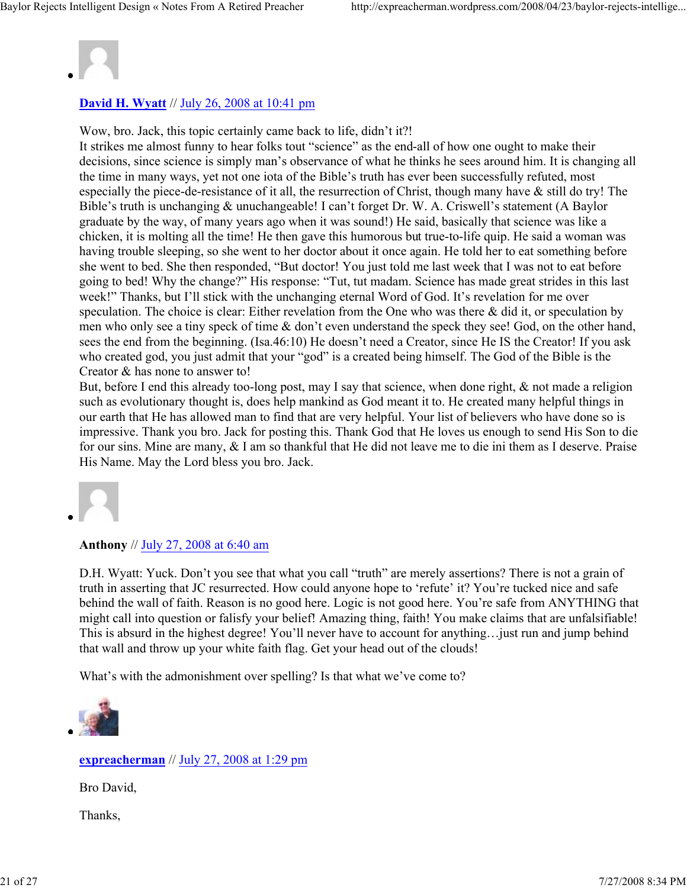

# **David H. Wyatt** // July 26, 2008 at 10:41 pm

Wow, bro. Jack, this topic certainly came back to life, didn't it?!

It strikes me almost funny to hear folks tout "science" as the end-all of how one ought to make their decisions, since science is simply man's observance of what he thinks he sees around him. It is changing all the time in many ways, yet not one iota of the Bible's truth has ever been successfully refuted, most especially the piece-de-resistance of it all, the resurrection of Christ, though many have & still do try! The Bible's truth is unchanging & unuchangeable! I can't forget Dr. W. A. Criswell's statement (A Baylor graduate by the way, of many years ago when it was sound!) He said, basically that science was like a chicken, it is molting all the time! He then gave this humorous but true-to-life quip. He said a woman was having trouble sleeping, so she went to her doctor about it once again. He told her to eat something before she went to bed. She then responded, "But doctor! You just told me last week that I was not to eat before going to bed! Why the change?" His response: "Tut, tut madam. Science has made great strides in this last week!" Thanks, but I'll stick with the unchanging eternal Word of God. It's revelation for me over speculation. The choice is clear: Either revelation from the One who was there & did it, or speculation by men who only see a tiny speck of time & don't even understand the speck they see! God, on the other hand, sees the end from the beginning. (Isa.46:10) He doesn't need a Creator, since He IS the Creator! If you ask who created god, you just admit that your "god" is a created being himself. The God of the Bible is the Creator & has none to answer to!

But, before I end this already too-long post, may I say that science, when done right, & not made a religion such as evolutionary thought is, does help mankind as God meant it to. He created many helpful things in our earth that He has allowed man to find that are very helpful. Your list of believers who have done so is impressive. Thank you bro. Jack for posting this. Thank God that He loves us enough to send His Son to die for our sins. Mine are many, & I am so thankful that He did not leave me to die ini them as I deserve. Praise His Name. May the Lord bless you bro. Jack.



#### **Anthony** // July 27, 2008 at 6:40 am

D.H. Wyatt: Yuck. Don't you see that what you call "truth" are merely assertions? There is not a grain of truth in asserting that JC resurrected. How could anyone hope to 'refute' it? You're tucked nice and safe behind the wall of faith. Reason is no good here. Logic is not good here. You're safe from ANYTHING that might call into question or falisfy your belief! Amazing thing, faith! You make claims that are unfalsifiable! This is absurd in the highest degree! You'll never have to account for anything…just run and jump behind that wall and throw up your white faith flag. Get your head out of the clouds!

What's with the admonishment over spelling? Is that what we've come to?



## **expreacherman** // July 27, 2008 at 1:29 pm

Bro David,

Thanks,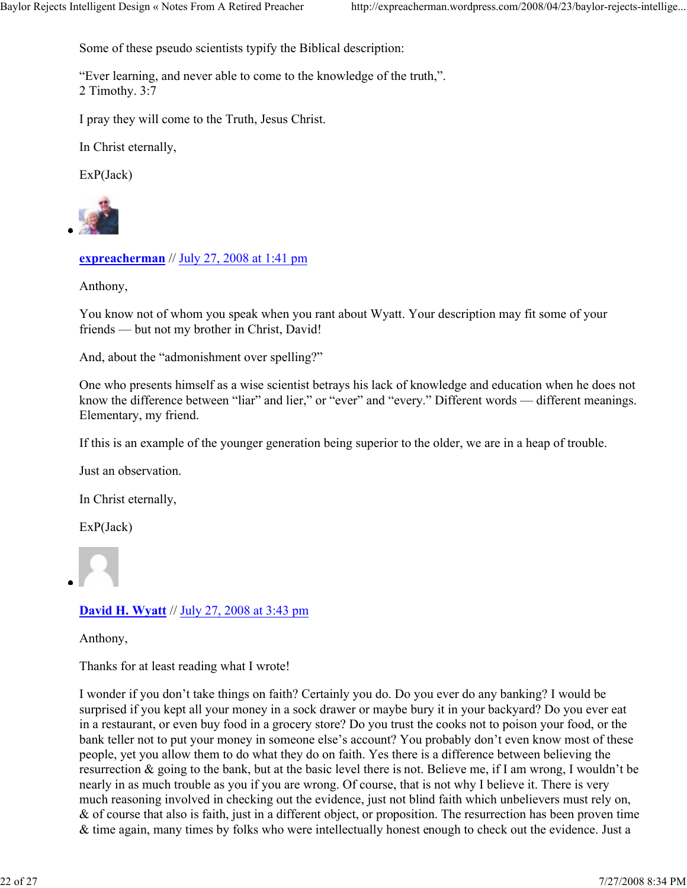Some of these pseudo scientists typify the Biblical description:

"Ever learning, and never able to come to the knowledge of the truth,". 2 Timothy. 3:7

I pray they will come to the Truth, Jesus Christ.

In Christ eternally,

ExP(Jack)



**expreacherman** // July 27, 2008 at 1:41 pm

Anthony,

You know not of whom you speak when you rant about Wyatt. Your description may fit some of your friends — but not my brother in Christ, David!

And, about the "admonishment over spelling?"

One who presents himself as a wise scientist betrays his lack of knowledge and education when he does not know the difference between "liar" and lier," or "ever" and "every." Different words — different meanings. Elementary, my friend.

If this is an example of the younger generation being superior to the older, we are in a heap of trouble.

Just an observation.

In Christ eternally,

ExP(Jack)



# **David H. Wyatt** // July 27, 2008 at 3:43 pm

Anthony,

Thanks for at least reading what I wrote!

I wonder if you don't take things on faith? Certainly you do. Do you ever do any banking? I would be surprised if you kept all your money in a sock drawer or maybe bury it in your backyard? Do you ever eat in a restaurant, or even buy food in a grocery store? Do you trust the cooks not to poison your food, or the bank teller not to put your money in someone else's account? You probably don't even know most of these people, yet you allow them to do what they do on faith. Yes there is a difference between believing the resurrection & going to the bank, but at the basic level there is not. Believe me, if I am wrong, I wouldn't be nearly in as much trouble as you if you are wrong. Of course, that is not why I believe it. There is very much reasoning involved in checking out the evidence, just not blind faith which unbelievers must rely on, & of course that also is faith, just in a different object, or proposition. The resurrection has been proven time & time again, many times by folks who were intellectually honest enough to check out the evidence. Just a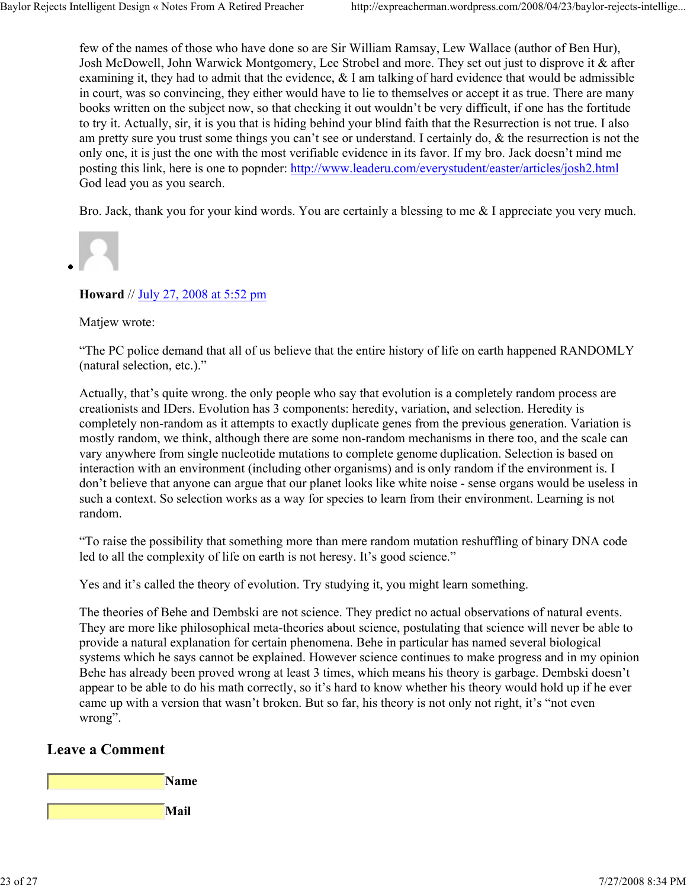few of the names of those who have done so are Sir William Ramsay, Lew Wallace (author of Ben Hur), Josh McDowell, John Warwick Montgomery, Lee Strobel and more. They set out just to disprove it & after examining it, they had to admit that the evidence, & I am talking of hard evidence that would be admissible in court, was so convincing, they either would have to lie to themselves or accept it as true. There are many books written on the subject now, so that checking it out wouldn't be very difficult, if one has the fortitude to try it. Actually, sir, it is you that is hiding behind your blind faith that the Resurrection is not true. I also am pretty sure you trust some things you can't see or understand. I certainly do, & the resurrection is not the only one, it is just the one with the most verifiable evidence in its favor. If my bro. Jack doesn't mind me posting this link, here is one to popnder: http://www.leaderu.com/everystudent/easter/articles/josh2.html God lead you as you search.

Bro. Jack, thank you for your kind words. You are certainly a blessing to me & I appreciate you very much.

**Howard** // July 27, 2008 at 5:52 pm

Matiew wrote:

"The PC police demand that all of us believe that the entire history of life on earth happened RANDOMLY (natural selection, etc.)."

Actually, that's quite wrong. the only people who say that evolution is a completely random process are creationists and IDers. Evolution has 3 components: heredity, variation, and selection. Heredity is completely non-random as it attempts to exactly duplicate genes from the previous generation. Variation is mostly random, we think, although there are some non-random mechanisms in there too, and the scale can vary anywhere from single nucleotide mutations to complete genome duplication. Selection is based on interaction with an environment (including other organisms) and is only random if the environment is. I don't believe that anyone can argue that our planet looks like white noise - sense organs would be useless in such a context. So selection works as a way for species to learn from their environment. Learning is not random.

"To raise the possibility that something more than mere random mutation reshuffling of binary DNA code led to all the complexity of life on earth is not heresy. It's good science."

Yes and it's called the theory of evolution. Try studying it, you might learn something.

The theories of Behe and Dembski are not science. They predict no actual observations of natural events. They are more like philosophical meta-theories about science, postulating that science will never be able to provide a natural explanation for certain phenomena. Behe in particular has named several biological systems which he says cannot be explained. However science continues to make progress and in my opinion Behe has already been proved wrong at least 3 times, which means his theory is garbage. Dembski doesn't appear to be able to do his math correctly, so it's hard to know whether his theory would hold up if he ever came up with a version that wasn't broken. But so far, his theory is not only not right, it's "not even wrong".

# **Leave a Comment**

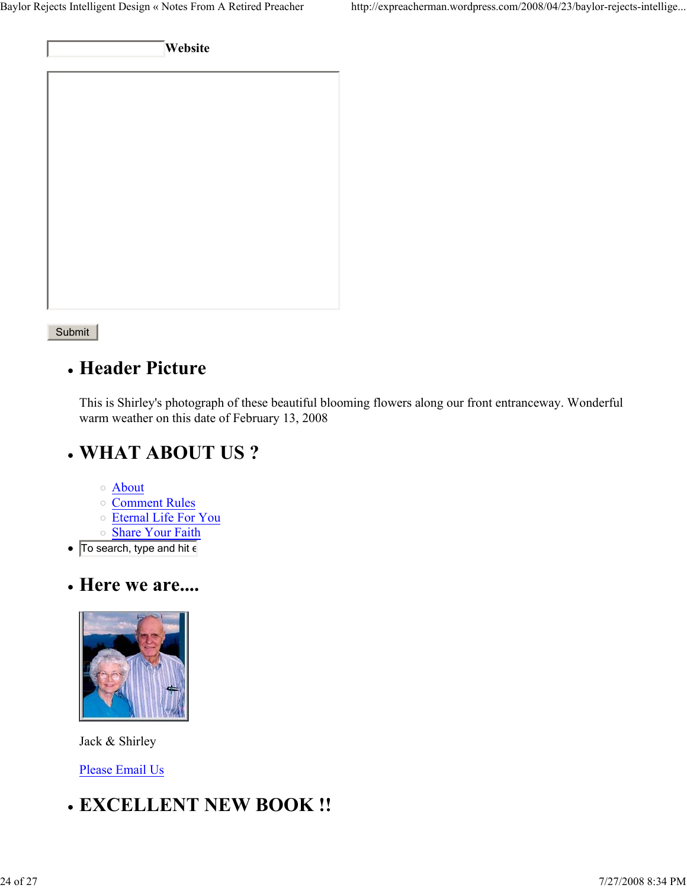**Website**

Submit

# **Header Picture**

This is Shirley's photograph of these beautiful blooming flowers along our front entranceway. Wonderful warm weather on this date of February 13, 2008

# **WHAT ABOUT US ?**

- About
- o Comment Rules
- Eternal Life For You
- o Share Your Faith
- To search, type and hit  $\epsilon$
- **Here we are....**



Jack & Shirley

Please Email Us

# **EXCELLENT NEW BOOK !!**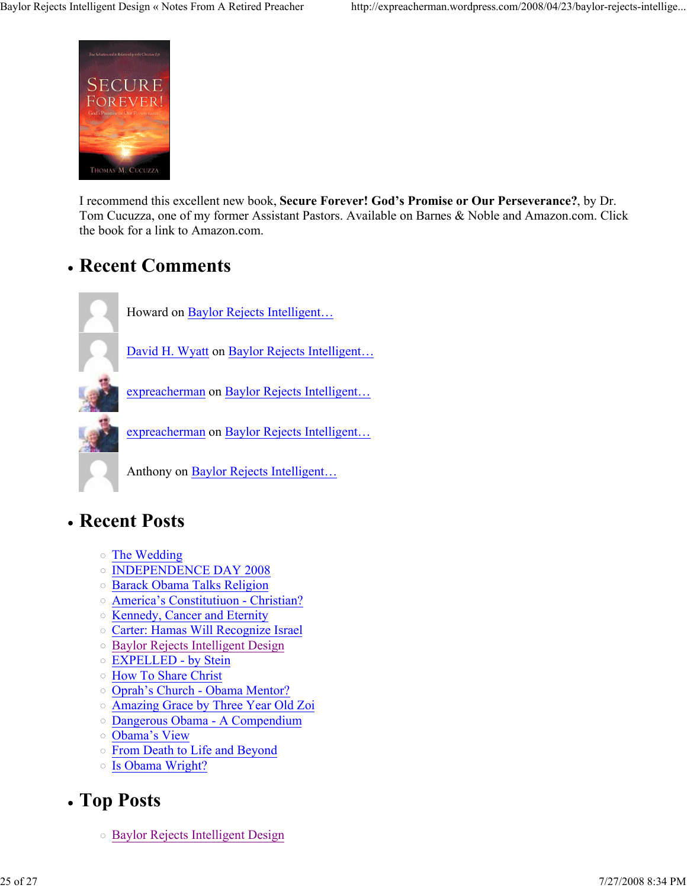

I recommend this excellent new book, **Secure Forever! God's Promise or Our Perseverance?**, by Dr. Tom Cucuzza, one of my former Assistant Pastors. Available on Barnes & Noble and Amazon.com. Click the book for a link to Amazon.com.

# **Recent Comments**



Howard on Baylor Rejects Intelligent…

David H. Wyatt on Baylor Rejects Intelligent…

expreacherman on Baylor Rejects Intelligent…

expreacherman on Baylor Rejects Intelligent…

Anthony on Baylor Rejects Intelligent…

# **Recent Posts**

- The Wedding
- o INDEPENDENCE DAY 2008
- Barack Obama Talks Religion
- America's Constitutiuon Christian?
- o Kennedy, Cancer and Eternity
- Carter: Hamas Will Recognize Israel
- o Baylor Rejects Intelligent Design
- EXPELLED by Stein
- How To Share Christ
- Oprah's Church Obama Mentor?
- Amazing Grace by Three Year Old Zoi
- Dangerous Obama A Compendium
- Obama's View
- From Death to Life and Beyond
- Is Obama Wright?

# **Top Posts**

Baylor Rejects Intelligent Design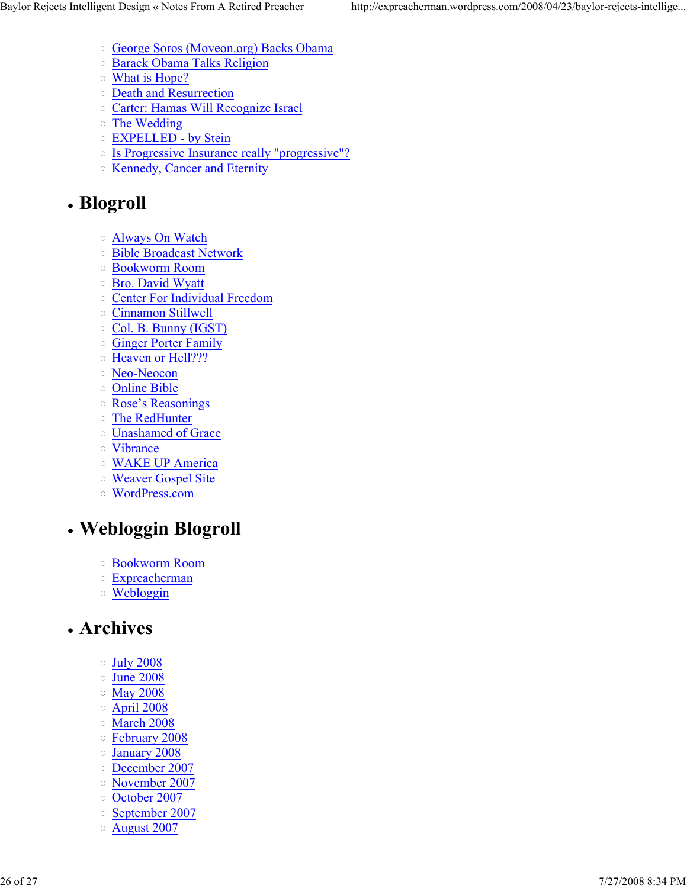- George Soros (Moveon.org) Backs Obama
- Barack Obama Talks Religion
- What is Hope?
- o Death and Resurrection
- Carter: Hamas Will Recognize Israel
- The Wedding
- EXPELLED by Stein
- o Is Progressive Insurance really "progressive"?
- o Kennedy, Cancer and Eternity

# **Blogroll**

- Always On Watch
- Bible Broadcast Network
- Bookworm Room
- Bro. David Wyatt
- Center For Individual Freedom
- Cinnamon Stillwell
- Col. B. Bunny (IGST)
- Ginger Porter Family
- o Heaven or Hell???
- Neo-Neocon
- Online Bible
- Rose's Reasonings
- The RedHunter
- Unashamed of Grace
- Vibrance
- WAKE UP America
- Weaver Gospel Site
- WordPress.com

# **Webloggin Blogroll**

- Bookworm Room
- Expreacherman
- Webloggin

# **Archives**

- $\circ$  July 2008
- June 2008
- May 2008
- $\circ$  April 2008
- March 2008
- February 2008
- January 2008
- December 2007
- November 2007
- o October 2007
- o September 2007
- August 2007